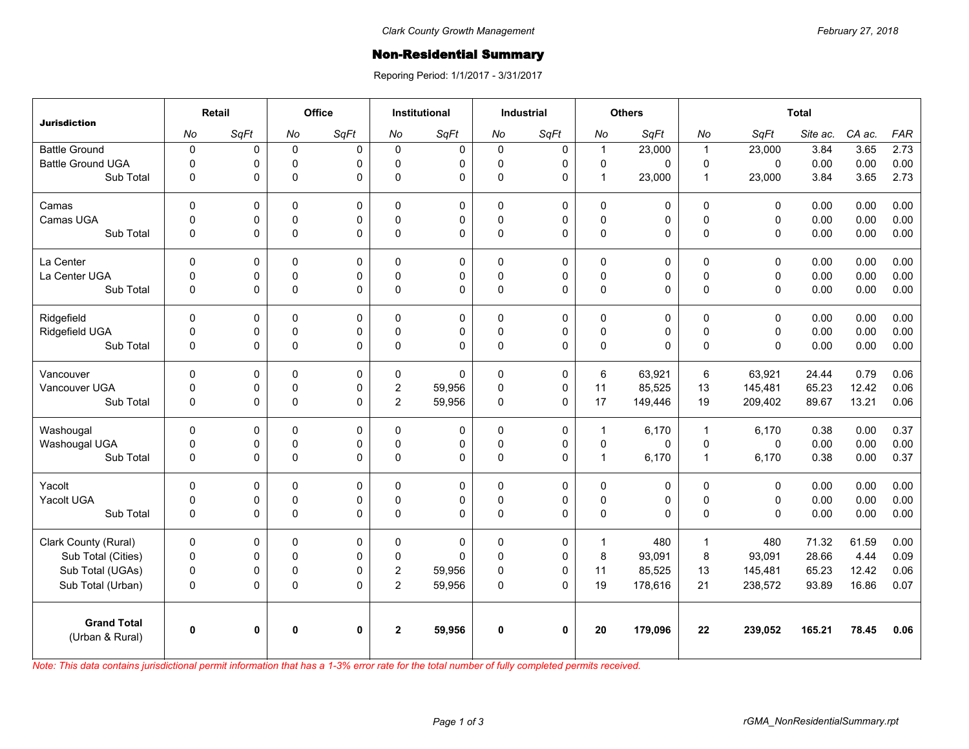## Non-Residential Summary

Reporing Period: 1/1/2017 - 3/31/2017

|                                       |              | Retail       |             | Office       |                | <b>Institutional</b> |              | <b>Industrial</b> |              | <b>Others</b> |                | <b>Total</b> |          |        |            |  |
|---------------------------------------|--------------|--------------|-------------|--------------|----------------|----------------------|--------------|-------------------|--------------|---------------|----------------|--------------|----------|--------|------------|--|
| <b>Jurisdiction</b>                   | No           | SqFt         | No          | SqFt         | No             | SqFt                 | No           | SqFt              | No           | SqFt          | No             | SqFt         | Site ac. | CA ac. | <b>FAR</b> |  |
| <b>Battle Ground</b>                  | $\mathbf 0$  | 0            | $\mathsf 0$ | 0            | $\Omega$       | $\mathbf 0$          | $\mathbf 0$  | 0                 | $\mathbf{1}$ | 23,000        | $\overline{1}$ | 23,000       | 3.84     | 3.65   | 2.73       |  |
| <b>Battle Ground UGA</b>              | $\mathbf 0$  | 0            | $\mathbf 0$ | $\Omega$     | 0              | 0                    | 0            | 0                 | $\pmb{0}$    | $\Omega$      | $\mathbf 0$    | $\Omega$     | 0.00     | 0.00   | 0.00       |  |
| Sub Total                             | $\mathbf 0$  | 0            | $\mathbf 0$ | $\Omega$     | 0              | 0                    | $\mathbf 0$  | 0                 | $\mathbf{1}$ | 23,000        | $\overline{1}$ | 23,000       | 3.84     | 3.65   | 2.73       |  |
| Camas                                 | $\mathbf 0$  | 0            | $\mathbf 0$ | 0            | 0              | 0                    | $\mathbf 0$  | 0                 | $\mathbf 0$  | 0             | $\mathbf{0}$   | $\Omega$     | 0.00     | 0.00   | 0.00       |  |
| Camas UGA                             | $\mathbf 0$  | 0            | $\mathsf 0$ | 0            | $\mathbf 0$    | 0                    | 0            | 0                 | $\pmb{0}$    | 0             | $\pmb{0}$      | $\pmb{0}$    | 0.00     | 0.00   | 0.00       |  |
| Sub Total                             | $\mathbf 0$  | 0            | $\pmb{0}$   | $\Omega$     | 0              | 0                    | $\pmb{0}$    | 0                 | $\pmb{0}$    | 0             | $\mathsf 0$    | $\mathbf 0$  | 0.00     | 0.00   | 0.00       |  |
| La Center                             | $\mathbf 0$  | 0            | $\Omega$    | $\Omega$     | 0              | $\Omega$             | $\Omega$     | $\mathbf 0$       | $\mathbf 0$  | 0             | $\mathbf{0}$   | $\Omega$     | 0.00     | 0.00   | 0.00       |  |
| La Center UGA                         | $\mathbf 0$  | 0            | 0           | 0            | $\Omega$       | 0                    | 0            | 0                 | 0            | 0             | $\mathbf 0$    | $\mathbf 0$  | 0.00     | 0.00   | 0.00       |  |
| Sub Total                             | $\mathbf 0$  | 0            | $\pmb{0}$   | $\Omega$     | $\Omega$       | $\Omega$             | $\Omega$     | $\Omega$          | $\mathsf 0$  | 0             | $\Omega$       | $\Omega$     | 0.00     | 0.00   | 0.00       |  |
| Ridgefield                            | $\mathbf 0$  | 0            | $\mathbf 0$ | $\mathbf 0$  | 0              | 0                    | $\mathbf 0$  | 0                 | $\mathbf 0$  | 0             | $\mathbf 0$    | $\mathbf 0$  | 0.00     | 0.00   | 0.00       |  |
| Ridgefield UGA                        | $\mathbf 0$  | 0            | 0           | $\mathbf 0$  | $\mathbf 0$    | 0                    | 0            | 0                 | $\pmb{0}$    | 0             | $\mathsf 0$    | $\mathbf 0$  | 0.00     | 0.00   | 0.00       |  |
| Sub Total                             | $\mathbf 0$  | 0            | $\pmb{0}$   | $\Omega$     | 0              | $\Omega$             | $\pmb{0}$    | 0                 | $\pmb{0}$    | 0             | $\Omega$       | $\Omega$     | 0.00     | 0.00   | 0.00       |  |
| Vancouver                             | $\mathbf 0$  | 0            | $\mathbf 0$ | 0            | 0              | $\Omega$             | $\mathbf 0$  | 0                 | 6            | 63,921        | 6              | 63,921       | 24.44    | 0.79   | 0.06       |  |
| Vancouver UGA                         | $\pmb{0}$    | 0            | $\mathsf 0$ | 0            | $\overline{c}$ | 59,956               | 0            | $\mathsf 0$       | 11           | 85,525        | 13             | 145,481      | 65.23    | 12.42  | 0.06       |  |
| Sub Total                             | $\Omega$     | 0            | $\mathbf 0$ | $\Omega$     | $\overline{2}$ | 59,956               | $\Omega$     | $\Omega$          | 17           | 149,446       | 19             | 209,402      | 89.67    | 13.21  | 0.06       |  |
| Washougal                             | $\mathbf 0$  | 0            | $\mathbf 0$ | $\Omega$     | 0              | 0                    | $\mathbf 0$  | 0                 | 1            | 6,170         | $\overline{1}$ | 6.170        | 0.38     | 0.00   | 0.37       |  |
| Washougal UGA                         | $\mathbf 0$  | 0            | $\pmb{0}$   | 0            | 0              | 0                    | $\mathsf 0$  | 0                 | $\pmb{0}$    | $\mathbf 0$   | $\mathsf 0$    | $\mathbf 0$  | 0.00     | 0.00   | 0.00       |  |
| Sub Total                             | $\mathbf 0$  | 0            | $\pmb{0}$   | $\Omega$     | 0              | $\Omega$             | $\pmb{0}$    | $\Omega$          | $\mathbf{1}$ | 6,170         | $\overline{1}$ | 6,170        | 0.38     | 0.00   | 0.37       |  |
| Yacolt                                | $\mathbf 0$  | 0            | $\mathbf 0$ | 0            | 0              | 0                    | $\mathbf 0$  | 0                 | $\pmb{0}$    | 0             | $\mathbf 0$    | $\mathbf 0$  | 0.00     | 0.00   | 0.00       |  |
| Yacolt UGA                            | $\mathbf 0$  | 0            | 0           | 0            | $\Omega$       | 0                    | 0            | 0                 | $\pmb{0}$    | 0             | $\mathbf 0$    | $\mathbf 0$  | 0.00     | 0.00   | 0.00       |  |
| Sub Total                             | $\mathbf 0$  | 0            | $\mathsf 0$ | $\Omega$     | 0              | $\Omega$             | $\pmb{0}$    | 0                 | $\mathsf 0$  | 0             | $\Omega$       | $\Omega$     | 0.00     | 0.00   | 0.00       |  |
| Clark County (Rural)                  | $\mathbf 0$  | 0            | 0           | 0            | 0              | 0                    | 0            | 0                 | $\mathbf{1}$ | 480           | $\overline{1}$ | 480          | 71.32    | 61.59  | 0.00       |  |
| Sub Total (Cities)                    | $\mathbf 0$  | 0            | $\mathbf 0$ | $\Omega$     | $\mathbf 0$    | $\Omega$             | $\pmb{0}$    | 0                 | 8            | 93,091        | 8              | 93,091       | 28.66    | 4.44   | 0.09       |  |
| Sub Total (UGAs)                      | $\pmb{0}$    | 0            | $\pmb{0}$   | 0            | $\overline{2}$ | 59,956               | 0            | 0                 | 11           | 85,525        | 13             | 145,481      | 65.23    | 12.42  | 0.06       |  |
| Sub Total (Urban)                     | $\mathbf 0$  | 0            | $\pmb{0}$   | $\Omega$     | $\overline{2}$ | 59,956               | $\pmb{0}$    | $\Omega$          | 19           | 178,616       | 21             | 238,572      | 93.89    | 16.86  | 0.07       |  |
| <b>Grand Total</b><br>(Urban & Rural) | $\mathbf{0}$ | $\mathbf{0}$ | 0           | $\mathbf{0}$ | $\overline{2}$ | 59,956               | $\mathbf{0}$ | $\mathbf{0}$      | 20           | 179,096       | 22             | 239,052      | 165.21   | 78.45  | 0.06       |  |

*Note: This data contains jurisdictional permit information that has a 1-3% error rate for the total number of fully completed permits received.*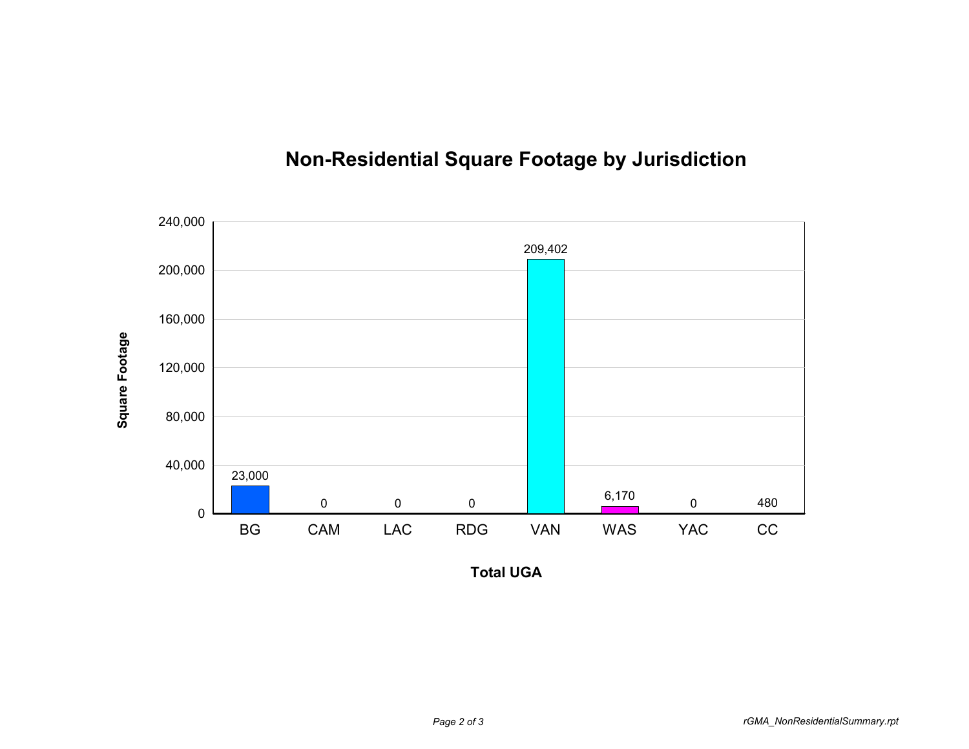

## **Non-Residential Square Footage by Jurisdiction**

**Total UGA**